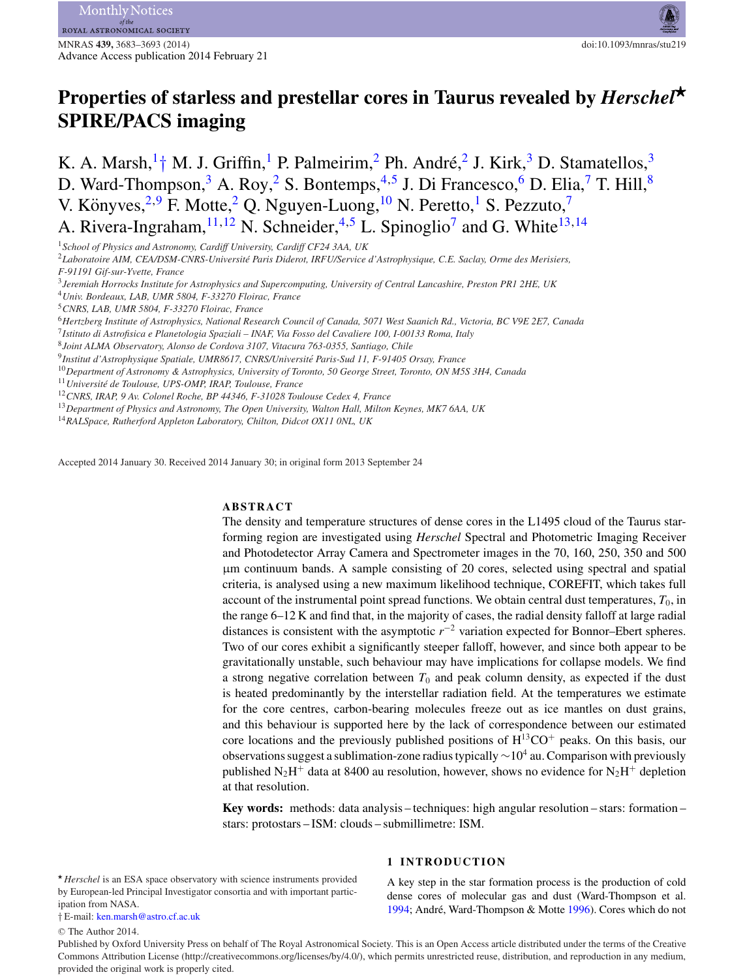# **Properties of starless and prestellar cores in Taurus revealed by** *Herschel-***SPIRE/PACS imaging**

K. A. Marsh,  $1^+$  $1^+$  M. J. Griffin, <sup>1</sup> P. Palmeirim, <sup>[2](#page-0-2)</sup> Ph. André, <sup>2</sup> J. Kirk, <sup>[3](#page-0-3)</sup> D. Stamatellos, <sup>3</sup> D. Ward-Thompson,<sup>[3](#page-0-3)</sup> A. Roy,<sup>[2](#page-0-2)</sup> S. Bontemps,<sup>4,[5](#page-0-5)</sup> J. Di Francesco,<sup>6</sup> D. Elia,<sup>[7](#page-0-7)</sup> T. Hill,<sup>[8](#page-0-8)</sup> V. Könyves,<sup>[2,](#page-0-2)[9](#page-0-9)</sup> F. Motte,<sup>[2](#page-0-2)</sup> Q. Nguyen-Luong,<sup>[10](#page-0-10)</sup> N. Peretto,<sup>[1](#page-0-0)</sup> S. Pezzuto,<sup>[7](#page-0-7)</sup> A. Rivera-Ingraham,  $^{11,12}$  $^{11,12}$  $^{11,12}$  N. Schneider,  $^{4,5}$  $^{4,5}$  $^{4,5}$  L. Spinoglio<sup>[7](#page-0-7)</sup> and G. White<sup>[13,](#page-0-13)[14](#page-0-14)</sup>

<span id="page-0-2"></span><sup>2</sup>*Laboratoire AIM, CEA/DSM-CNRS-Universite Paris Diderot, IRFU/Service d'Astrophysique, C.E. Saclay, Orme des Merisiers, ´ F-91191 Gif-sur-Yvette, France*

<span id="page-0-3"></span><sup>3</sup>*Jeremiah Horrocks Institute for Astrophysics and Supercomputing, University of Central Lancashire, Preston PR1 2HE, UK*

<span id="page-0-4"></span><sup>4</sup>*Univ. Bordeaux, LAB, UMR 5804, F-33270 Floirac, France*

<span id="page-0-5"></span><sup>5</sup>*CNRS, LAB, UMR 5804, F-33270 Floirac, France*

<span id="page-0-6"></span><sup>6</sup>*Hertzberg Institute of Astrophysics, National Research Council of Canada, 5071 West Saanich Rd., Victoria, BC V9E 2E7, Canada*

<span id="page-0-7"></span><sup>7</sup>*Istituto di Astrofisica e Planetologia Spaziali – INAF, Via Fosso del Cavaliere 100, I-00133 Roma, Italy*

<span id="page-0-8"></span><sup>8</sup>*Joint ALMA Observatory, Alonso de Cordova 3107, Vitacura 763-0355, Santiago, Chile*

<span id="page-0-9"></span><sup>9</sup>*Institut d'Astrophysique Spatiale, UMR8617, CNRS/Universite Paris-Sud 11, F-91405 Orsay, France ´*

<span id="page-0-10"></span><sup>10</sup>*Department of Astronomy & Astrophysics, University of Toronto, 50 George Street, Toronto, ON M5S 3H4, Canada*

<span id="page-0-11"></span><sup>11</sup>*Universite de Toulouse, UPS-OMP, IRAP, Toulouse, France ´*

<span id="page-0-12"></span><sup>12</sup>*CNRS, IRAP, 9 Av. Colonel Roche, BP 44346, F-31028 Toulouse Cedex 4, France*

<span id="page-0-13"></span><sup>13</sup>*Department of Physics and Astronomy, The Open University, Walton Hall, Milton Keynes, MK7 6AA, UK*

<span id="page-0-14"></span><sup>14</sup>*RALSpace, Rutherford Appleton Laboratory, Chilton, Didcot OX11 0NL, UK*

Accepted 2014 January 30. Received 2014 January 30; in original form 2013 September 24

### **ABSTRACT**

The density and temperature structures of dense cores in the L1495 cloud of the Taurus starforming region are investigated using *Herschel* Spectral and Photometric Imaging Receiver and Photodetector Array Camera and Spectrometer images in the 70, 160, 250, 350 and 500 μm continuum bands. A sample consisting of 20 cores, selected using spectral and spatial criteria, is analysed using a new maximum likelihood technique, COREFIT, which takes full account of the instrumental point spread functions. We obtain central dust temperatures,  $T_0$ , in the range 6–12 K and find that, in the majority of cases, the radial density falloff at large radial distances is consistent with the asymptotic *r*−<sup>2</sup> variation expected for Bonnor–Ebert spheres. Two of our cores exhibit a significantly steeper falloff, however, and since both appear to be gravitationally unstable, such behaviour may have implications for collapse models. We find a strong negative correlation between  $T_0$  and peak column density, as expected if the dust is heated predominantly by the interstellar radiation field. At the temperatures we estimate for the core centres, carbon-bearing molecules freeze out as ice mantles on dust grains, and this behaviour is supported here by the lack of correspondence between our estimated core locations and the previously published positions of  $H^{13}CO^+$  peaks. On this basis, our observations suggest a sublimation-zone radius typically  $\sim 10^4$  au. Comparison with previously published N<sub>2</sub>H<sup>+</sup> data at 8400 au resolution, however, shows no evidence for N<sub>2</sub>H<sup>+</sup> depletion at that resolution.

**Key words:** methods: data analysis – techniques: high angular resolution – stars: formation – stars: protostars – ISM: clouds – submillimetre: ISM.

\* *Herschel* is an ESA space observatory with science instruments provided by European-led Principal Investigator consortia and with important participation from NASA.

<span id="page-0-1"></span>† E-mail: [ken.marsh@astro.cf.ac.uk](mailto:ken.marsh@astro.cf.ac.uk)

<sup>C</sup> The Author 2014.

# **1 INTRODUCTION**

A key step in the star formation process is the production of cold dense cores of molecular gas and dust (Ward-Thompson et al. [1994;](#page-10-0) André, Ward-Thompson & Motte [1996\)](#page-10-1). Cores which do not

Published by Oxford University Press on behalf of The Royal Astronomical Society. This is an Open Access article distributed under the terms of the Creative Commons Attribution License (http://creativecommons.org/licenses/by/4.0/), which permits unrestricted reuse, distribution, and reproduction in any medium, provided the original work is properly cited.

<span id="page-0-0"></span><sup>1</sup>*School of Physics and Astronomy, Cardiff University, Cardiff CF24 3AA, UK*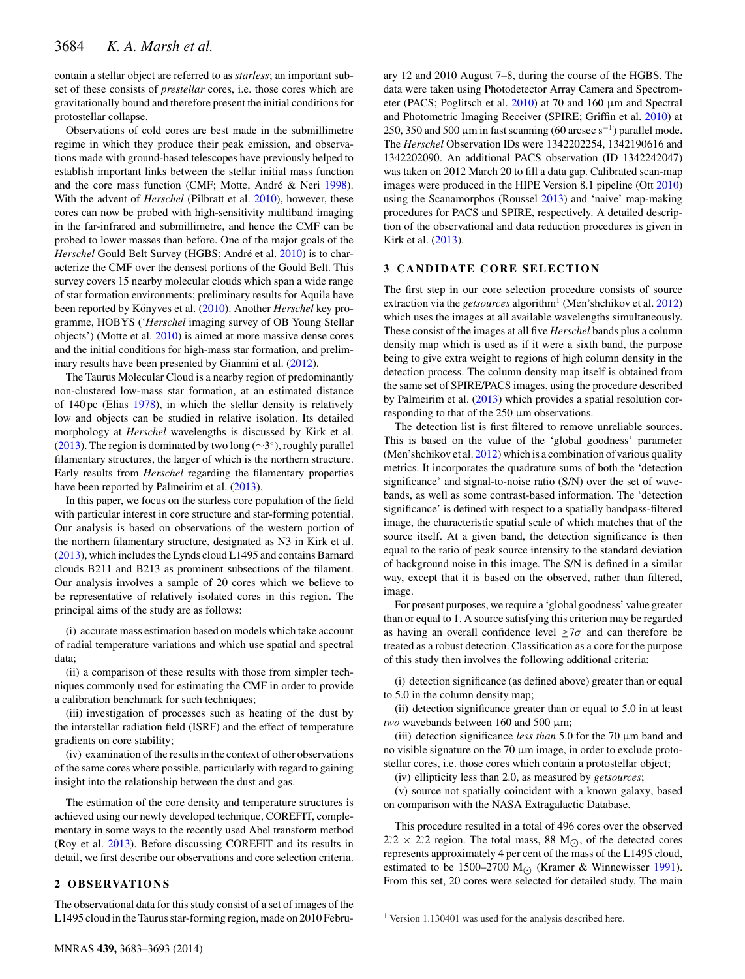contain a stellar object are referred to as *starless*; an important subset of these consists of *prestellar* cores, i.e. those cores which are gravitationally bound and therefore present the initial conditions for protostellar collapse.

Observations of cold cores are best made in the submillimetre regime in which they produce their peak emission, and observations made with ground-based telescopes have previously helped to establish important links between the stellar initial mass function and the core mass function (CMF; Motte, André & Neri [1998\)](#page-10-2). With the advent of *Herschel* (Pilbratt et al. [2010\)](#page-10-3), however, these cores can now be probed with high-sensitivity multiband imaging in the far-infrared and submillimetre, and hence the CMF can be probed to lower masses than before. One of the major goals of the *Herschel* Gould Belt Survey (HGBS; André et al. [2010\)](#page-10-4) is to characterize the CMF over the densest portions of the Gould Belt. This survey covers 15 nearby molecular clouds which span a wide range of star formation environments; preliminary results for Aquila have been reported by Könyves et al. ([2010\)](#page-10-5). Another *Herschel* key programme, HOBYS ('*Herschel* imaging survey of OB Young Stellar objects') (Motte et al. [2010\)](#page-10-6) is aimed at more massive dense cores and the initial conditions for high-mass star formation, and preliminary results have been presented by Giannini et al. [\(2012\)](#page-10-7).

The Taurus Molecular Cloud is a nearby region of predominantly non-clustered low-mass star formation, at an estimated distance of 140 pc (Elias [1978\)](#page-10-8), in which the stellar density is relatively low and objects can be studied in relative isolation. Its detailed morphology at *Herschel* wavelengths is discussed by Kirk et al. [\(2013\)](#page-10-9). The region is dominated by two long ( $\sim$ 3°), roughly parallel filamentary structures, the larger of which is the northern structure. Early results from *Herschel* regarding the filamentary properties have been reported by Palmeirim et al. [\(2013\)](#page-10-10).

In this paper, we focus on the starless core population of the field with particular interest in core structure and star-forming potential. Our analysis is based on observations of the western portion of the northern filamentary structure, designated as N3 in Kirk et al. [\(2013\)](#page-10-9), which includes the Lynds cloud L1495 and contains Barnard clouds B211 and B213 as prominent subsections of the filament. Our analysis involves a sample of 20 cores which we believe to be representative of relatively isolated cores in this region. The principal aims of the study are as follows:

(i) accurate mass estimation based on models which take account of radial temperature variations and which use spatial and spectral data;

(ii) a comparison of these results with those from simpler techniques commonly used for estimating the CMF in order to provide a calibration benchmark for such techniques;

(iii) investigation of processes such as heating of the dust by the interstellar radiation field (ISRF) and the effect of temperature gradients on core stability;

(iv) examination of the results in the context of other observations of the same cores where possible, particularly with regard to gaining insight into the relationship between the dust and gas.

The estimation of the core density and temperature structures is achieved using our newly developed technique, COREFIT, complementary in some ways to the recently used Abel transform method (Roy et al. [2013\)](#page-10-11). Before discussing COREFIT and its results in detail, we first describe our observations and core selection criteria.

## 2 OBSERVATIONS

The observational data for this study consist of a set of images of the L1495 cloud in the Taurus star-forming region, made on 2010 Febru-

ary 12 and 2010 August 7–8, during the course of the HGBS. The data were taken using Photodetector Array Camera and Spectrometer (PACS; Poglitsch et al. [2010\)](#page-10-12) at 70 and 160 μm and Spectral and Photometric Imaging Receiver (SPIRE; Griffin et al. [2010\)](#page-10-13) at 250, 350 and 500  $\mu$ m in fast scanning (60 arcsec s<sup>-1</sup>) parallel mode. The *Herschel* Observation IDs were 1342202254, 1342190616 and 1342202090. An additional PACS observation (ID 1342242047) was taken on 2012 March 20 to fill a data gap. Calibrated scan-map images were produced in the HIPE Version 8.1 pipeline (Ott [2010\)](#page-10-14) using the Scanamorphos (Roussel [2013\)](#page-10-15) and 'naive' map-making procedures for PACS and SPIRE, respectively. A detailed description of the observational and data reduction procedures is given in Kirk et al. [\(2013\)](#page-10-9).

## **3 CANDIDATE CORE SELECTION**

The first step in our core selection procedure consists of source extraction via the *getsources* algorithm<sup>1</sup> (Men'shchikov et al. [2012\)](#page-10-16) which uses the images at all available wavelengths simultaneously. These consist of the images at all five *Herschel* bands plus a column density map which is used as if it were a sixth band, the purpose being to give extra weight to regions of high column density in the detection process. The column density map itself is obtained from the same set of SPIRE/PACS images, using the procedure described by Palmeirim et al. [\(2013\)](#page-10-10) which provides a spatial resolution corresponding to that of the 250 μm observations.

The detection list is first filtered to remove unreliable sources. This is based on the value of the 'global goodness' parameter (Men'shchikov et al. [2012\)](#page-10-16) which is a combination of various quality metrics. It incorporates the quadrature sums of both the 'detection significance' and signal-to-noise ratio (S/N) over the set of wavebands, as well as some contrast-based information. The 'detection significance' is defined with respect to a spatially bandpass-filtered image, the characteristic spatial scale of which matches that of the source itself. At a given band, the detection significance is then equal to the ratio of peak source intensity to the standard deviation of background noise in this image. The S/N is defined in a similar way, except that it is based on the observed, rather than filtered, image.

For present purposes, we require a 'global goodness' value greater than or equal to 1. A source satisfying this criterion may be regarded as having an overall confidence level  $\geq 7\sigma$  and can therefore be treated as a robust detection. Classification as a core for the purpose of this study then involves the following additional criteria:

(i) detection significance (as defined above) greater than or equal to 5.0 in the column density map;

(ii) detection significance greater than or equal to 5.0 in at least *two* wavebands between 160 and 500 μm;

(iii) detection significance *less than* 5.0 for the 70 μm band and no visible signature on the 70 μm image, in order to exclude protostellar cores, i.e. those cores which contain a protostellar object;

(iv) ellipticity less than 2.0, as measured by *getsources*;

(v) source not spatially coincident with a known galaxy, based on comparison with the NASA Extragalactic Database.

This procedure resulted in a total of 496 cores over the observed  $2.2 \times 2.2$  region. The total mass, 88 M<sub>O</sub>, of the detected cores represents approximately 4 per cent of the mass of the L1495 cloud, estimated to be 1500–2700 M<sub> $\odot$ </sub> (Kramer & Winnewisser [1991\)](#page-10-17). From this set, 20 cores were selected for detailed study. The main

<sup>1</sup> Version 1.130401 was used for the analysis described here.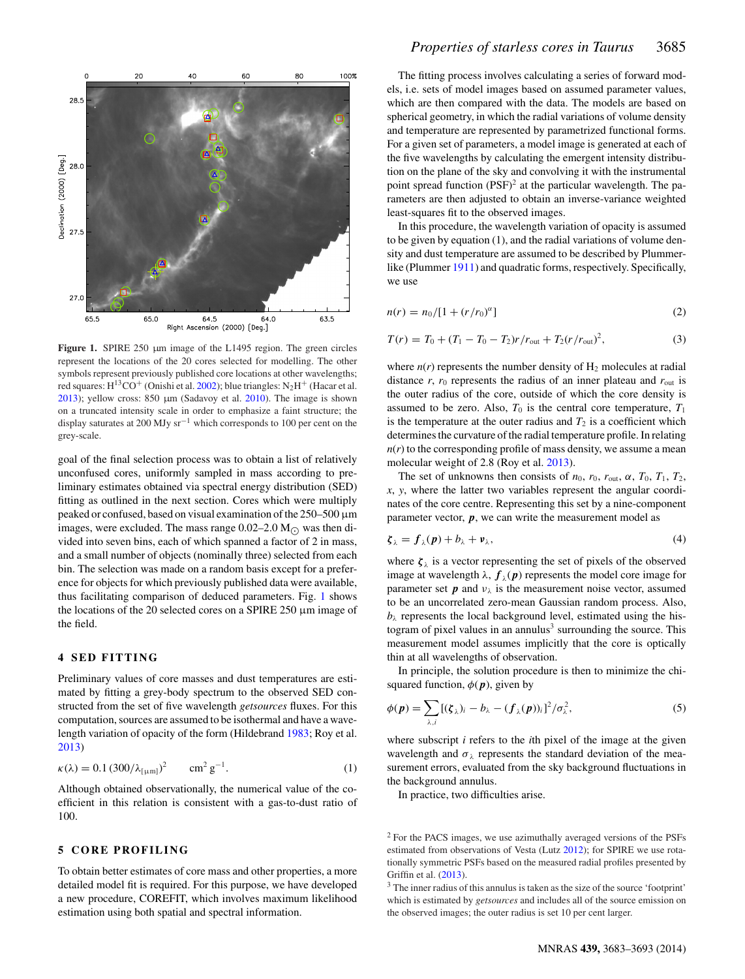<span id="page-2-0"></span>

Figure 1. SPIRE 250 µm image of the L1495 region. The green circles represent the locations of the 20 cores selected for modelling. The other symbols represent previously published core locations at other wavelengths; red squares:  $H^{13}CO^{+}$  (Onishi et al. [2002\)](#page-10-18); blue triangles:  $N_2H^{+}$  (Hacar et al. [2013\)](#page-10-19); yellow cross:  $850 \mu m$  (Sadavoy et al. [2010\)](#page-10-20). The image is shown on a truncated intensity scale in order to emphasize a faint structure; the display saturates at 200 MJy sr−<sup>1</sup> which corresponds to 100 per cent on the grey-scale.

goal of the final selection process was to obtain a list of relatively unconfused cores, uniformly sampled in mass according to preliminary estimates obtained via spectral energy distribution (SED) fitting as outlined in the next section. Cores which were multiply peaked or confused, based on visual examination of the 250–500 μm images, were excluded. The mass range  $0.02-2.0$  M $_{\odot}$  was then divided into seven bins, each of which spanned a factor of 2 in mass, and a small number of objects (nominally three) selected from each bin. The selection was made on a random basis except for a preference for objects for which previously published data were available, thus facilitating comparison of deduced parameters. Fig. [1](#page-2-0) shows the locations of the 20 selected cores on a SPIRE 250 μm image of the field.

## **4 SED FITTING**

Preliminary values of core masses and dust temperatures are estimated by fitting a grey-body spectrum to the observed SED constructed from the set of five wavelength *getsources* fluxes. For this computation, sources are assumed to be isothermal and have a wavelength variation of opacity of the form (Hildebrand [1983;](#page-10-21) Roy et al. [2013\)](#page-10-11)

$$
\kappa(\lambda) = 0.1 (300/\lambda_{\text{[µm]}})^2 \qquad \text{cm}^2 \text{ g}^{-1}. \tag{1}
$$

Although obtained observationally, the numerical value of the coefficient in this relation is consistent with a gas-to-dust ratio of 100.

## **5 CORE PROFILING**

To obtain better estimates of core mass and other properties, a more detailed model fit is required. For this purpose, we have developed a new procedure, COREFIT, which involves maximum likelihood estimation using both spatial and spectral information.

The fitting process involves calculating a series of forward models, i.e. sets of model images based on assumed parameter values, which are then compared with the data. The models are based on spherical geometry, in which the radial variations of volume density and temperature are represented by parametrized functional forms. For a given set of parameters, a model image is generated at each of the five wavelengths by calculating the emergent intensity distribution on the plane of the sky and convolving it with the instrumental point spread function  $(PSF)^2$  at the particular wavelength. The parameters are then adjusted to obtain an inverse-variance weighted least-squares fit to the observed images.

In this procedure, the wavelength variation of opacity is assumed to be given by equation (1), and the radial variations of volume density and dust temperature are assumed to be described by Plummer-like (Plummer [1911\)](#page-10-22) and quadratic forms, respectively. Specifically, we use

$$
n(r) = n_0/[1 + (r/r_0)^{\alpha}]
$$
 (2)

$$
T(r) = T_0 + (T_1 - T_0 - T_2)r/r_{\text{out}} + T_2(r/r_{\text{out}})^2,
$$
\n(3)

where  $n(r)$  represents the number density of  $H_2$  molecules at radial distance  $r$ ,  $r_0$  represents the radius of an inner plateau and  $r_{\text{out}}$  is the outer radius of the core, outside of which the core density is assumed to be zero. Also,  $T_0$  is the central core temperature,  $T_1$ is the temperature at the outer radius and  $T_2$  is a coefficient which determines the curvature of the radial temperature profile. In relating  $n(r)$  to the corresponding profile of mass density, we assume a mean molecular weight of 2.8 (Roy et al. [2013\)](#page-10-11).

The set of unknowns then consists of  $n_0$ ,  $r_0$ ,  $r_{\text{out}}$ ,  $\alpha$ ,  $T_0$ ,  $T_1$ ,  $T_2$ , *x*, *y*, where the latter two variables represent the angular coordinates of the core centre. Representing this set by a nine-component parameter vector, *p*, we can write the measurement model as

$$
\zeta_{\lambda} = f_{\lambda}(p) + b_{\lambda} + \nu_{\lambda}, \tag{4}
$$

where  $\zeta_{\lambda}$  is a vector representing the set of pixels of the observed image at wavelength  $\lambda$ ,  $f_{\lambda}(p)$  represents the model core image for parameter set  $p$  and  $v_{\lambda}$  is the measurement noise vector, assumed to be an uncorrelated zero-mean Gaussian random process. Also,  $b_{\lambda}$  represents the local background level, estimated using the histogram of pixel values in an annulus<sup>3</sup> surrounding the source. This measurement model assumes implicitly that the core is optically thin at all wavelengths of observation.

In principle, the solution procedure is then to minimize the chi-squared function[,](#page-3-0)  $\phi(p)$ , given by

$$
\phi(\mathbf{p}) = \sum_{\lambda,i} [(\zeta_{\lambda})_i - b_{\lambda} - (f_{\lambda}(\mathbf{p}))_i]^2 / \sigma_{\lambda}^2,
$$
\n(5)

where subscript *i* refers to the *i*th pixel of the image at the given wavelength and  $\sigma_{\lambda}$  represents the standard deviation of the measurement errors, evaluated from the sky background fluctuations in the background annulus.

In practice, two difficulties arise.

<sup>2</sup> For the PACS images, we use azimuthally averaged versions of the PSFs estimated from observations of Vesta (Lutz [2012\)](#page-10-23); for SPIRE we use rotationally symmetric PSFs based on the measured radial profiles presented by Griffin et al. [\(2013\)](#page-10-24).

<sup>3</sup> The inner radius of this annulus is taken as the size of the source 'footprint' which is estimated by *getsources* and includes all of the source emission on the observed images; the outer radius is set 10 per cent larger.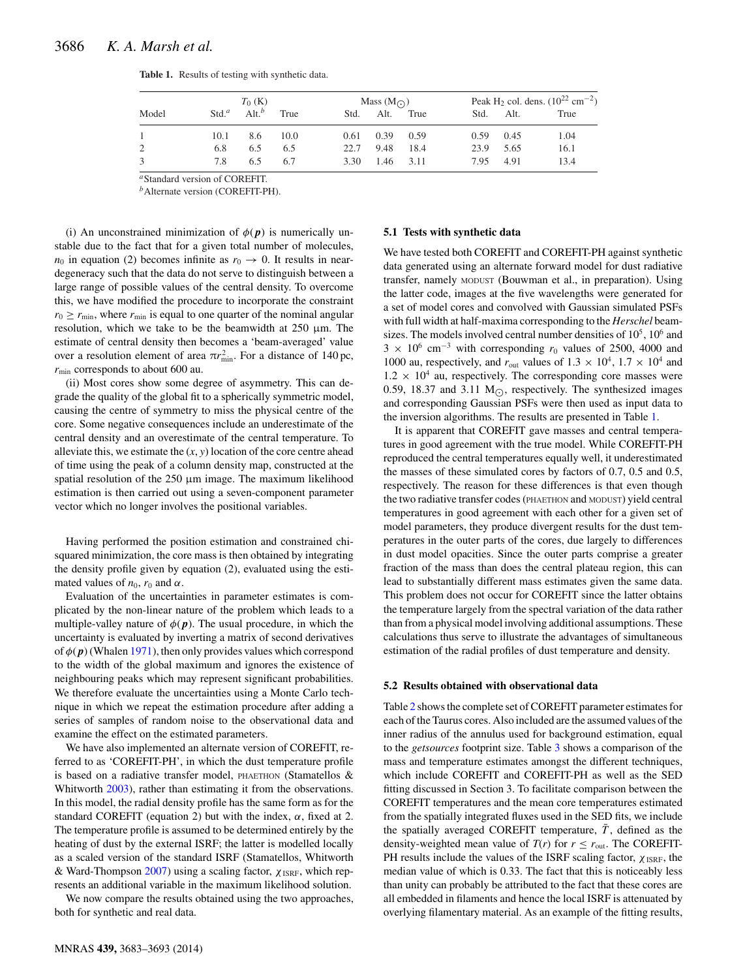|       | $T_0$ (K)        |          |      | Mass $(M_{\odot})$ |               |           | Peak H <sub>2</sub> col. dens. $(10^{22} \text{ cm}^{-2})$ |      |      |  |
|-------|------------------|----------|------|--------------------|---------------|-----------|------------------------------------------------------------|------|------|--|
| Model | Std <sup>a</sup> | $Alt.^b$ | True | Std.               |               | Alt. True | Std.                                                       | Alt. | True |  |
|       | 10.1             | 8.6      | 10.0 | 0.61               | $0.39$ $0.59$ |           | 0.59                                                       | 0.45 | 1.04 |  |
| 2     | 6.8              | 6.5      | 6.5  | 22.7               | 9.48 18.4     |           | 23.9                                                       | 5.65 | 16.1 |  |
| 3     | 7.8              | 6.5      | 6.7  | 3.30               | 1.46 3.11     |           | 7.95                                                       | 4.91 | 13.4 |  |

<span id="page-3-0"></span>**Table 1.** Results of testing with synthetic data.

*<sup>a</sup>*Standard version of COREFIT.

*<sup>b</sup>*Alternate version (COREFIT-PH).

(i) An unconstrained minimization of  $\phi(p)$  is numerically unstable due to the fact that for a given total number of molecules,  $n_0$  in equation (2) becomes infinite as  $r_0 \rightarrow 0$ . It results in neardegeneracy such that the data do not serve to distinguish between a large range of possible values of the central density. To overcome this, we have modified the procedure to incorporate the constraint  $r_0 \ge r_{\text{min}}$ , where  $r_{\text{min}}$  is equal to one quarter of the nominal angular resolution, which we take to be the beamwidth at  $250 \mu m$ . The estimate of central density then becomes a 'beam-averaged' value over a resolution element of area  $\pi r_{\min}^2$ . For a distance of 140 pc, *r*min corresponds to about 600 au.

(ii) Most cores show some degree of asymmetry. This can degrade the quality of the global fit to a spherically symmetric model, causing the centre of symmetry to miss the physical centre of the core. Some negative consequences include an underestimate of the central density and an overestimate of the central temperature. To alleviate this, we estimate the  $(x, y)$  location of the core centre ahead of time using the peak of a column density map, constructed at the spatial resolution of the 250 μm image. The maximum likelihood estimation is then carried out using a seven-component parameter vector which no longer involves the positional variables.

Having performed the position estimation and constrained chisquared minimization, the core mass is then obtained by integrating the density profile given by equation (2), evaluated using the estimated values of  $n_0$ ,  $r_0$  and  $\alpha$ .

Evaluation of the uncertainties in parameter estimates is complicated by the non-linear nature of the problem which leads to a multiple-valley nature of  $\phi(p)$ . The usual procedure, in which the uncertainty is evaluated by inverting a matrix of second derivatives of  $\phi(p)$  (Whalen [1971\)](#page-10-25), then only provides values which correspond to the width of the global maximum and ignores the existence of neighbouring peaks which may represent significant probabilities. We therefore evaluate the uncertainties using a Monte Carlo technique in which we repeat the estimation procedure after adding a series of samples of random noise to the observational data and examine the effect on the estimated parameters.

We have also implemented an alternate version of COREFIT, referred to as 'COREFIT-PH', in which the dust temperature profile is based on a radiative transfer model, PHAETHON (Stamatellos  $\&$ Whitworth [2003\)](#page-10-26), rather than estimating it from the observations. In this model, the radial density profile has the same form as for the standard COREFIT (equation 2) but with the index,  $\alpha$ , fixed at 2. The temperature profile is assumed to be determined entirely by the heating of dust by the external ISRF; the latter is modelled locally as a scaled version of the standard ISRF (Stamatellos, Whitworth & Ward-Thompson [2007\)](#page-10-27) using a scaling factor,  $\chi_{ISRF}$ , which represents an additional variable in the maximum likelihood solution.

We now compare the results obtained using the two approaches, both for synthetic and real data.

### **5.1 Tests with synthetic data**

We have tested both COREFIT and COREFIT-PH against synthetic data generated using an alternate forward model for dust radiative transfer, namely MODUST (Bouwman et al., in preparation). Using the latter code, images at the five wavelengths were generated for a set of model cores and convolved with Gaussian simulated PSFs with full width at half-maxima corresponding to the *Herschel* beamsizes. The models involved central number densities of  $10<sup>5</sup>$ ,  $10<sup>6</sup>$  and  $3 \times 10^6$  cm<sup>-3</sup> with corresponding  $r_0$  values of 2500, 4000 and 1000 au, respectively, and  $r_{\text{out}}$  values of  $1.3 \times 10^4$ ,  $1.7 \times 10^4$  and  $1.2 \times 10^4$  au, respectively. The corresponding core masses were 0.59, 18.37 and 3.11  $M_{\odot}$ , respectively. The synthesized images and corresponding Gaussian PSFs were then used as input data to the inversion algorithms. The results are presented in Table [1.](#page-3-0)

It is apparent that COREFIT gave masses and central temperatures in good agreement with the true model. While COREFIT-PH reproduced the central temperatures equally well, it underestimated the masses of these simulated cores by factors of 0.7, 0.5 and 0.5, respectively. The reason for these differences is that even though the two radiative transfer codes (PHAETHON and MODUST) yield central temperatures in good agreement with each other for a given set of model parameters, they produce divergent results for the dust temperatures in the outer parts of the cores, due largely to differences in dust model opacities. Since the outer parts comprise a greater fraction of the mass than does the central plateau region, this can lead to substantially different mass estimates given the same data. This problem does not occur for COREFIT since the latter obtains the temperature largely from the spectral variation of the data rather than from a physical model involving additional assumptions. These calculations thus serve to illustrate the advantages of simultaneous estimation of the radial profiles of dust temperature and density.

#### **5.2 Results obtained with observational data**

Table [2](#page-4-0) shows the complete set of COREFIT parameter estimates for each of the Taurus cores. Also included are the assumed values of the inner radius of the annulus used for background estimation, equal to the *getsources* footprint size. Table [3](#page-4-1) shows a comparison of the mass and temperature estimates amongst the different techniques, which include COREFIT and COREFIT-PH as well as the SED fitting discussed in Section 3. To facilitate comparison between the COREFIT temperatures and the mean core temperatures estimated from the spatially integrated fluxes used in the SED fits, we include the spatially averaged COREFIT temperature,  $\bar{T}$ , defined as the density-weighted mean value of  $T(r)$  for  $r \le r_{\text{out}}$ . The COREFIT-PH results include the values of the ISRF scaling factor,  $\chi_{ISRF}$ , the median value of which is 0.33. The fact that this is noticeably less than unity can probably be attributed to the fact that these cores are all embedded in filaments and hence the local ISRF is attenuated by overlying filamentary material. As an example of the fitting results,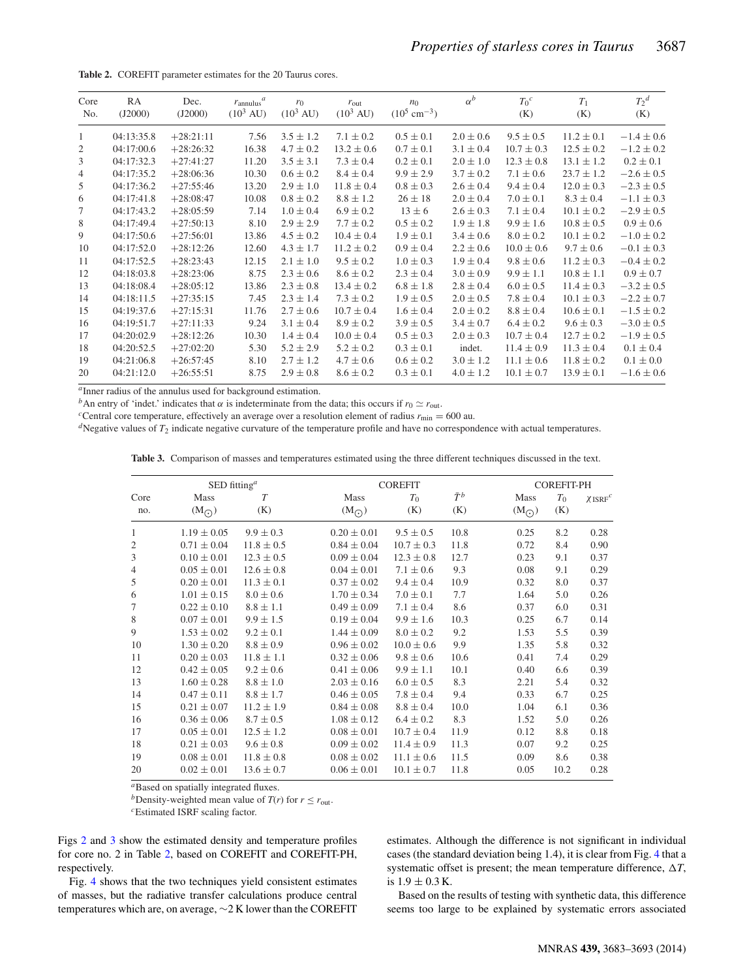<span id="page-4-0"></span>**Table 2.** COREFIT parameter estimates for the 20 Taurus cores.

| Core<br>No. | RA<br>(J2000) | Dec.<br>(J2000) | $r_{\text{annulus}}^a$<br>$(10^3 \text{ AU})$ | $r_0$<br>$(10^3 \text{ AU})$ | $r_{\text{out}}$<br>$(10^3 \text{ AU})$ | $n_0$<br>$(10^5 \text{ cm}^{-3})$ | $\alpha^b$    | $T_0^c$<br>(K) | $T_1$<br>(K)   | $T_2^d$<br>(K) |
|-------------|---------------|-----------------|-----------------------------------------------|------------------------------|-----------------------------------------|-----------------------------------|---------------|----------------|----------------|----------------|
| 1           | 04:13:35.8    | $+28:21:11$     | 7.56                                          | $3.5 \pm 1.2$                | $7.1 \pm 0.2$                           | $0.5 \pm 0.1$                     | $2.0 \pm 0.6$ | $9.5 \pm 0.5$  | $11.2 \pm 0.1$ | $-1.4 \pm 0.6$ |
| 2           | 04:17:00.6    | $+28:26:32$     | 16.38                                         | $4.7 \pm 0.2$                | $13.2 \pm 0.6$                          | $0.7 \pm 0.1$                     | $3.1 \pm 0.4$ | $10.7 \pm 0.3$ | $12.5 \pm 0.2$ | $-1.2 \pm 0.2$ |
| 3           | 04:17:32.3    | $+27:41:27$     | 11.20                                         | $3.5 \pm 3.1$                | $7.3 \pm 0.4$                           | $0.2 \pm 0.1$                     | $2.0 \pm 1.0$ | $12.3 \pm 0.8$ | $13.1 \pm 1.2$ | $0.2 \pm 0.1$  |
| 4           | 04:17:35.2    | $+28:06:36$     | 10.30                                         | $0.6 \pm 0.2$                | $8.4 \pm 0.4$                           | $9.9 \pm 2.9$                     | $3.7 \pm 0.2$ | $7.1 \pm 0.6$  | $23.7 \pm 1.2$ | $-2.6 \pm 0.5$ |
| 5           | 04:17:36.2    | $+27:55:46$     | 13.20                                         | $2.9 \pm 1.0$                | $11.8 \pm 0.4$                          | $0.8 \pm 0.3$                     | $2.6 \pm 0.4$ | $9.4 \pm 0.4$  | $12.0 \pm 0.3$ | $-2.3 \pm 0.5$ |
| 6           | 04:17:41.8    | $+28:08:47$     | 10.08                                         | $0.8 \pm 0.2$                | $8.8 \pm 1.2$                           | $26 \pm 18$                       | $2.0 \pm 0.4$ | $7.0 \pm 0.1$  | $8.3 \pm 0.4$  | $-1.1 \pm 0.3$ |
| 7           | 04:17:43.2    | $+28:05:59$     | 7.14                                          | $1.0 \pm 0.4$                | $6.9 \pm 0.2$                           | $13 \pm 6$                        | $2.6 \pm 0.3$ | $7.1 \pm 0.4$  | $10.1 \pm 0.2$ | $-2.9 \pm 0.5$ |
| 8           | 04:17:49.4    | $+27:50:13$     | 8.10                                          | $2.9 \pm 2.9$                | $7.7 \pm 0.2$                           | $0.5 \pm 0.2$                     | $1.9 \pm 1.8$ | $9.9 \pm 1.6$  | $10.8 \pm 0.5$ | $0.9 \pm 0.6$  |
| 9           | 04:17:50.6    | $+27:56:01$     | 13.86                                         | $4.5 \pm 0.2$                | $10.4 \pm 0.4$                          | $1.9 \pm 0.1$                     | $3.4 \pm 0.6$ | $8.0 \pm 0.2$  | $10.1 \pm 0.2$ | $-1.0 \pm 0.2$ |
| 10          | 04:17:52.0    | $+28:12:26$     | 12.60                                         | $4.3 \pm 1.7$                | $11.2 \pm 0.2$                          | $0.9 \pm 0.4$                     | $2.2 \pm 0.6$ | $10.0 \pm 0.6$ | $9.7 \pm 0.6$  | $-0.1 \pm 0.3$ |
| 11          | 04:17:52.5    | $+28:23:43$     | 12.15                                         | $2.1 \pm 1.0$                | $9.5 \pm 0.2$                           | $1.0 \pm 0.3$                     | $1.9 \pm 0.4$ | $9.8 \pm 0.6$  | $11.2 \pm 0.3$ | $-0.4 \pm 0.2$ |
| 12          | 04:18:03.8    | $+28:23:06$     | 8.75                                          | $2.3 \pm 0.6$                | $8.6 \pm 0.2$                           | $2.3 \pm 0.4$                     | $3.0 \pm 0.9$ | $9.9 \pm 1.1$  | $10.8 \pm 1.1$ | $0.9 \pm 0.7$  |
| 13          | 04:18:08.4    | $+28:05:12$     | 13.86                                         | $2.3 \pm 0.8$                | $13.4 \pm 0.2$                          | $6.8 \pm 1.8$                     | $2.8 \pm 0.4$ | $6.0 \pm 0.5$  | $11.4 \pm 0.3$ | $-3.2 \pm 0.5$ |
| 14          | 04:18:11.5    | $+27:35:15$     | 7.45                                          | $2.3 \pm 1.4$                | $7.3 \pm 0.2$                           | $1.9 \pm 0.5$                     | $2.0 \pm 0.5$ | $7.8 \pm 0.4$  | $10.1 \pm 0.3$ | $-2.2 \pm 0.7$ |
| 15          | 04:19:37.6    | $+27:15:31$     | 11.76                                         | $2.7 \pm 0.6$                | $10.7 \pm 0.4$                          | $1.6 \pm 0.4$                     | $2.0 \pm 0.2$ | $8.8 \pm 0.4$  | $10.6 \pm 0.1$ | $-1.5 \pm 0.2$ |
| 16          | 04:19:51.7    | $+27:11:33$     | 9.24                                          | $3.1 \pm 0.4$                | $8.9 \pm 0.2$                           | $3.9 \pm 0.5$                     | $3.4 \pm 0.7$ | $6.4 \pm 0.2$  | $9.6 \pm 0.3$  | $-3.0 \pm 0.5$ |
| 17          | 04:20:02.9    | $+28:12:26$     | 10.30                                         | $1.4 \pm 0.4$                | $10.0 \pm 0.4$                          | $0.5 \pm 0.3$                     | $2.0 \pm 0.3$ | $10.7 \pm 0.4$ | $12.7 \pm 0.2$ | $-1.9 \pm 0.5$ |
| 18          | 04:20:52.5    | $+27:02:20$     | 5.30                                          | $5.2 \pm 2.9$                | $5.2 \pm 0.2$                           | $0.3 \pm 0.1$                     | indet.        | $11.4 \pm 0.9$ | $11.3 \pm 0.4$ | $0.1 \pm 0.4$  |
| 19          | 04:21:06.8    | $+26:57:45$     | 8.10                                          | $2.7 \pm 1.2$                | $4.7 \pm 0.6$                           | $0.6 \pm 0.2$                     | $3.0 \pm 1.2$ | $11.1 \pm 0.6$ | $11.8 \pm 0.2$ | $0.1 \pm 0.0$  |
| 20          | 04:21:12.0    | $+26:55:51$     | 8.75                                          | $2.9 \pm 0.8$                | $8.6 \pm 0.2$                           | $0.3 \pm 0.1$                     | $4.0 \pm 1.2$ | $10.1 \pm 0.7$ | $13.9 \pm 0.1$ | $-1.6 \pm 0.6$ |

<sup>*a*</sup>Inner radius of the annulus used for background estimation.<br><sup>*b*</sup>An entry of 'indet.' indicates that  $\alpha$  is indeterminate from the data; this occurs if  $r_0 \simeq r_{\text{out}}$ .

<span id="page-4-1"></span>

<sup>c</sup>Central core temperature, effectively an average over a resolution element of radius  $r_{\text{min}} = 600$  au.<br><sup>d</sup>Negative values of  $T_2$  indicate negative curvature of the temperature profile and have no correspondence with

**Table 3.** Comparison of masses and temperatures estimated using the three different techniques discussed in the text.

|                | SED fitting <sup>a</sup> |                |                       | <b>COREFIT</b> |                    | <b>COREFIT-PH</b>     |              |           |
|----------------|--------------------------|----------------|-----------------------|----------------|--------------------|-----------------------|--------------|-----------|
| Core<br>no.    | Mass<br>$(M_{\bigodot})$ | T<br>(K)       | Mass<br>$(M_{\odot})$ | $T_0$<br>(K)   | $\bar{T}^b$<br>(K) | Mass<br>$(M_{\odot})$ | $T_0$<br>(K) | $XISRF^C$ |
| 1              | $1.19 \pm 0.05$          | $9.9 \pm 0.3$  | $0.20 \pm 0.01$       | $9.5 \pm 0.5$  | 10.8               | 0.25                  | 8.2          | 0.28      |
| $\mathfrak{2}$ | $0.71 \pm 0.04$          | $11.8 \pm 0.5$ | $0.84 \pm 0.04$       | $10.7 \pm 0.3$ | 11.8               | 0.72                  | 8.4          | 0.90      |
| 3              | $0.10 \pm 0.01$          | $12.3 \pm 0.5$ | $0.09 \pm 0.04$       | $12.3 \pm 0.8$ | 12.7               | 0.23                  | 9.1          | 0.37      |
| $\overline{4}$ | $0.05 \pm 0.01$          | $12.6 \pm 0.8$ | $0.04 \pm 0.01$       | $7.1 \pm 0.6$  | 9.3                | 0.08                  | 9.1          | 0.29      |
| 5              | $0.20 \pm 0.01$          | $11.3 \pm 0.1$ | $0.37 \pm 0.02$       | $9.4 \pm 0.4$  | 10.9               | 0.32                  | 8.0          | 0.37      |
| 6              | $1.01 \pm 0.15$          | $8.0 \pm 0.6$  | $1.70 \pm 0.34$       | $7.0 \pm 0.1$  | 7.7                | 1.64                  | 5.0          | 0.26      |
| 7              | $0.22 \pm 0.10$          | $8.8 \pm 1.1$  | $0.49 \pm 0.09$       | $7.1 \pm 0.4$  | 8.6                | 0.37                  | 6.0          | 0.31      |
| 8              | $0.07 \pm 0.01$          | $9.9 \pm 1.5$  | $0.19 \pm 0.04$       | $9.9 \pm 1.6$  | 10.3               | 0.25                  | 6.7          | 0.14      |
| 9              | $1.53 \pm 0.02$          | $9.2 \pm 0.1$  | $1.44 \pm 0.09$       | $8.0 \pm 0.2$  | 9.2                | 1.53                  | 5.5          | 0.39      |
| 10             | $1.30 \pm 0.20$          | $8.8 \pm 0.9$  | $0.96 \pm 0.02$       | $10.0 \pm 0.6$ | 9.9                | 1.35                  | 5.8          | 0.32      |
| 11             | $0.20 \pm 0.03$          | $11.8 \pm 1.1$ | $0.32 \pm 0.06$       | $9.8 \pm 0.6$  | 10.6               | 0.41                  | 7.4          | 0.29      |
| 12             | $0.42 \pm 0.05$          | $9.2 \pm 0.6$  | $0.41 \pm 0.06$       | $9.9 \pm 1.1$  | 10.1               | 0.40                  | 6.6          | 0.39      |
| 13             | $1.60 \pm 0.28$          | $8.8 \pm 1.0$  | $2.03 \pm 0.16$       | $6.0 \pm 0.5$  | 8.3                | 2.21                  | 5.4          | 0.32      |
| 14             | $0.47 \pm 0.11$          | $8.8 \pm 1.7$  | $0.46 \pm 0.05$       | $7.8 \pm 0.4$  | 9.4                | 0.33                  | 6.7          | 0.25      |
| 15             | $0.21 \pm 0.07$          | $11.2 \pm 1.9$ | $0.84 \pm 0.08$       | $8.8 \pm 0.4$  | 10.0               | 1.04                  | 6.1          | 0.36      |
| 16             | $0.36 \pm 0.06$          | $8.7 \pm 0.5$  | $1.08 \pm 0.12$       | $6.4 \pm 0.2$  | 8.3                | 1.52                  | 5.0          | 0.26      |
| 17             | $0.05 \pm 0.01$          | $12.5 \pm 1.2$ | $0.08 \pm 0.01$       | $10.7 \pm 0.4$ | 11.9               | 0.12                  | 8.8          | 0.18      |
| 18             | $0.21 \pm 0.03$          | $9.6 \pm 0.8$  | $0.09 \pm 0.02$       | $11.4 \pm 0.9$ | 11.3               | 0.07                  | 9.2          | 0.25      |
| 19             | $0.08 \pm 0.01$          | $11.8 \pm 0.8$ | $0.08 \pm 0.02$       | $11.1 \pm 0.6$ | 11.5               | 0.09                  | 8.6          | 0.38      |
| 20             | $0.02 \pm 0.01$          | $13.6 \pm 0.7$ | $0.06 \pm 0.01$       | $10.1 \pm 0.7$ | 11.8               | 0.05                  | 10.2         | 0.28      |
|                |                          |                |                       |                |                    |                       |              |           |

*<sup>a</sup>*Based on spatially integrated fluxes.

*b*Density-weighted mean value of *T*(*r*) for  $r \le r_{\text{out}}$ . *c*Estimated ISRF scaling factor.

Figs [2](#page-5-0) and [3](#page-5-1) show the estimated density and temperature profiles for core no. 2 in Table [2,](#page-4-0) based on COREFIT and COREFIT-PH, respectively.

Fig. [4](#page-5-2) shows that the two techniques yield consistent estimates of masses, but the radiative transfer calculations produce central temperatures which are, on average, ∼2 K lower than the COREFIT

estimates. Although the difference is not significant in individual cases (the standard deviation being 1.4), it is clear from Fig. [4](#page-5-2) that a systematic offset is present; the mean temperature difference,  $\Delta T$ , is  $1.9 \pm 0.3$  K.

Based on the results of testing with synthetic data, this difference seems too large to be explained by systematic errors associated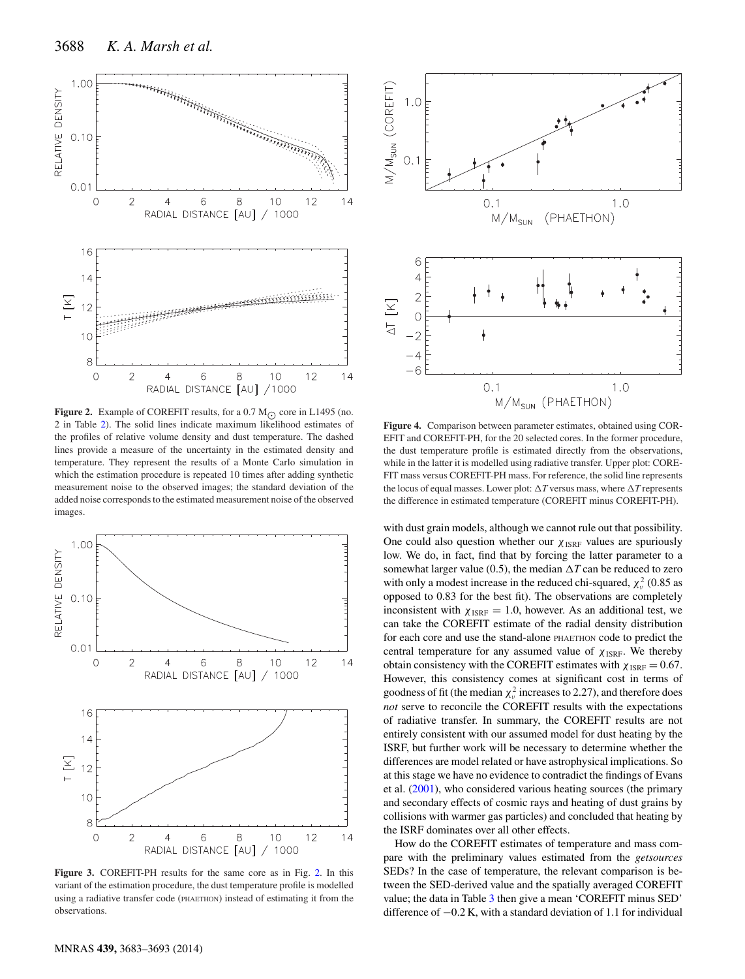<span id="page-5-0"></span>

**Figure 2.** Example of COREFIT results, for a 0.7  $M_{\odot}$  core in L1495 (no. 2 in Table [2\)](#page-4-0). The solid lines indicate maximum likelihood estimates of the profiles of relative volume density and dust temperature. The dashed lines provide a measure of the uncertainty in the estimated density and temperature. They represent the results of a Monte Carlo simulation in which the estimation procedure is repeated 10 times after adding synthetic measurement noise to the observed images; the standard deviation of the added noise corresponds to the estimated measurement noise of the observed images.

<span id="page-5-1"></span>

**Figure 3.** COREFIT-PH results for the same core as in Fig. [2.](#page-5-0) In this variant of the estimation procedure, the dust temperature profile is modelled using a radiative transfer code (PHAETHON) instead of estimating it from the observations.

<span id="page-5-2"></span>

**Figure 4.** Comparison between parameter estimates, obtained using COR-EFIT and COREFIT-PH, for the 20 selected cores. In the former procedure, the dust temperature profile is estimated directly from the observations, while in the latter it is modelled using radiative transfer. Upper plot: CORE-FIT mass versus COREFIT-PH mass. For reference, the solid line represents the locus of equal masses. Lower plot:  $\Delta T$  versus mass, where  $\Delta T$  represents the difference in estimated temperature (COREFIT minus COREFIT-PH).

with dust grain models, although we cannot rule out that possibility. One could also question whether our  $\chi_{\text{ISRF}}$  values are spuriously low. We do, in fact, find that by forcing the latter parameter to a somewhat larger value (0.5), the median  $\Delta T$  can be reduced to zero with only a modest increase in the reduced chi-squared,  $\chi^2_{\nu}$  (0.85 as opposed to 0.83 for the best fit). The observations are completely inconsistent with  $\chi_{\text{ISRF}} = 1.0$ , however. As an additional test, we can take the COREFIT estimate of the radial density distribution for each core and use the stand-alone PHAETHON code to predict the central temperature for any assumed value of  $\chi_{\text{ISRF}}$ . We thereby obtain consistency with the COREFIT estimates with  $\chi_{ISRF} = 0.67$ . However, this consistency comes at significant cost in terms of goodness of fit (the median  $\chi^2_\nu$  increases to 2.27), and therefore does *not* serve to reconcile the COREFIT results with the expectations of radiative transfer. In summary, the COREFIT results are not entirely consistent with our assumed model for dust heating by the ISRF, but further work will be necessary to determine whether the differences are model related or have astrophysical implications. So at this stage we have no evidence to contradict the findings of Evans et al. [\(2001\)](#page-10-28), who considered various heating sources (the primary and secondary effects of cosmic rays and heating of dust grains by collisions with warmer gas particles) and concluded that heating by the ISRF dominates over all other effects.

How do the COREFIT estimates of temperature and mass compare with the preliminary values estimated from the *getsources* SEDs? In the case of temperature, the relevant comparison is between the SED-derived value and the spatially averaged COREFIT value; the data in Table [3](#page-4-1) then give a mean 'COREFIT minus SED' difference of  $-0.2$  K, with a standard deviation of 1.1 for individual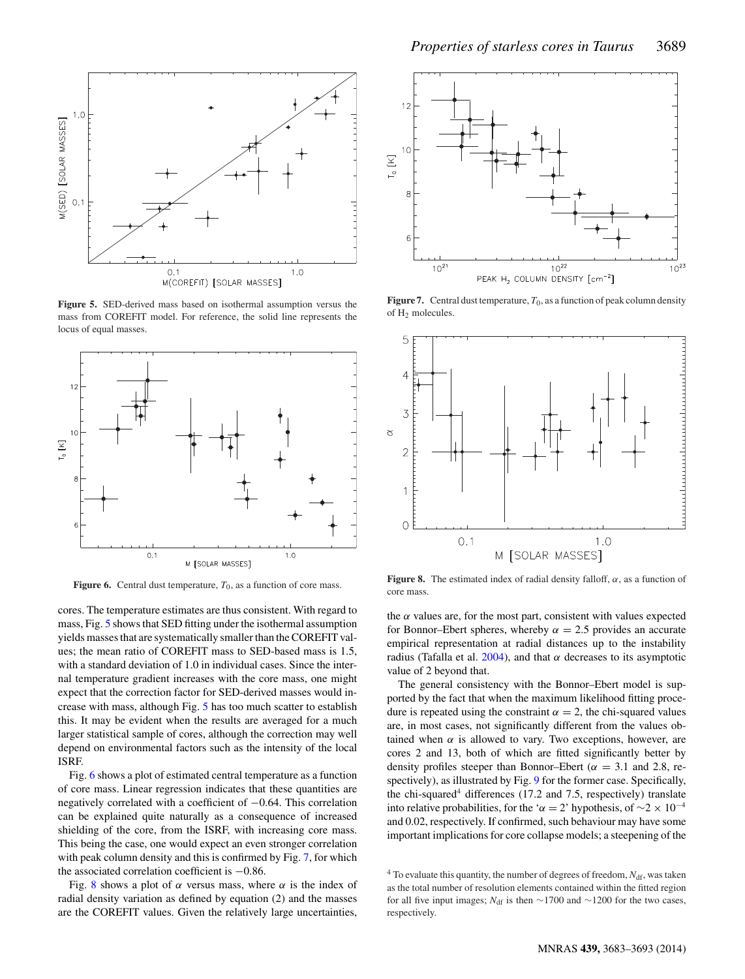<span id="page-6-0"></span>

**Figure 5.** SED-derived mass based on isothermal assumption versus the mass from COREFIT model. For reference, the solid line represents the locus of equal masses.

<span id="page-6-1"></span>

**Figure 6.** Central dust temperature,  $T_0$ , as a function of core mass.

cores. The temperature estimates are thus consistent. With regard to mass, Fig. [5](#page-6-0) shows that SED fitting under the isothermal assumption yields masses that are systematically smaller than the COREFIT values; the mean ratio of COREFIT mass to SED-based mass is 1.5, with a standard deviation of 1.0 in individual cases. Since the internal temperature gradient increases with the core mass, one might expect that the correction factor for SED-derived masses would increase with mass, although Fig. [5](#page-6-0) has too much scatter to establish this. It may be evident when the results are averaged for a much larger statistical sample of cores, although the correction may well depend on environmental factors such as the intensity of the local ISRF.

Fig. [6](#page-6-1) shows a plot of estimated central temperature as a function of core mass. Linear regression indicates that these quantities are negatively correlated with a coefficient of −0.64. This correlation can be explained quite naturally as a consequence of increased shielding of the core, from the ISRF, with increasing core mass. This being the case, one would expect an even stronger correlation with peak column density and this is confirmed by Fig. [7,](#page-6-2) for which the associated correlation coefficient is −0.86.

Fig. [8](#page-6-3) shows a plot of  $\alpha$  versus mass, where  $\alpha$  is the index of radial density variation as defined by equation (2) and the masses are the COREFIT values. Given the relatively large uncertainties,

<span id="page-6-2"></span>

**Figure 7.** Central dust temperature,  $T_0$ , as a function of peak column density of H2 molecules.

<span id="page-6-3"></span>

**Figure 8.** The estimated index of radial density falloff,  $\alpha$ , as a function of core mass.

the  $\alpha$  values are, for the most part, consistent with values expected for Bonnor–Ebert spheres, whereby  $\alpha = 2.5$  provides an accurate empirical representation at radial distances up to the instability radius (Tafalla et al. [2004\)](#page-10-29), and that  $\alpha$  decreases to its asymptotic value of 2 beyond that.

The general consistency with the Bonnor–Ebert model is supported by the fact that when the maximum likelihood fitting procedure is repeated using the constraint  $\alpha = 2$ , the chi-squared values are, in most cases, not significantly different from the values obtained when  $\alpha$  is allowed to vary. Two exceptions, however, are cores 2 and 13, both of which are fitted significantly better by density profiles steeper than Bonnor–Ebert ( $\alpha = 3.1$  and 2.8, respectively), as illustrated by Fig. [9](#page-7-0) for the former case. Specifically, the chi-squared<sup>4</sup> differences  $(17.2 \text{ and } 7.5, \text{ respectively})$  translate into relative probabilities, for the ' $\alpha = 2$ ' hypothesis, of  $\sim$ 2 × 10<sup>-4</sup> and 0.02, respectively. If confirmed, such behaviour may have some important implications for core collapse models; a steepening of the

 $4$  To evaluate this quantity, the number of degrees of freedom,  $N_{\text{df}}$ , was taken as the total number of resolution elements contained within the fitted region for all five input images;  $N_{\text{df}}$  is then ~1700 and ~1200 for the two cases, respectively.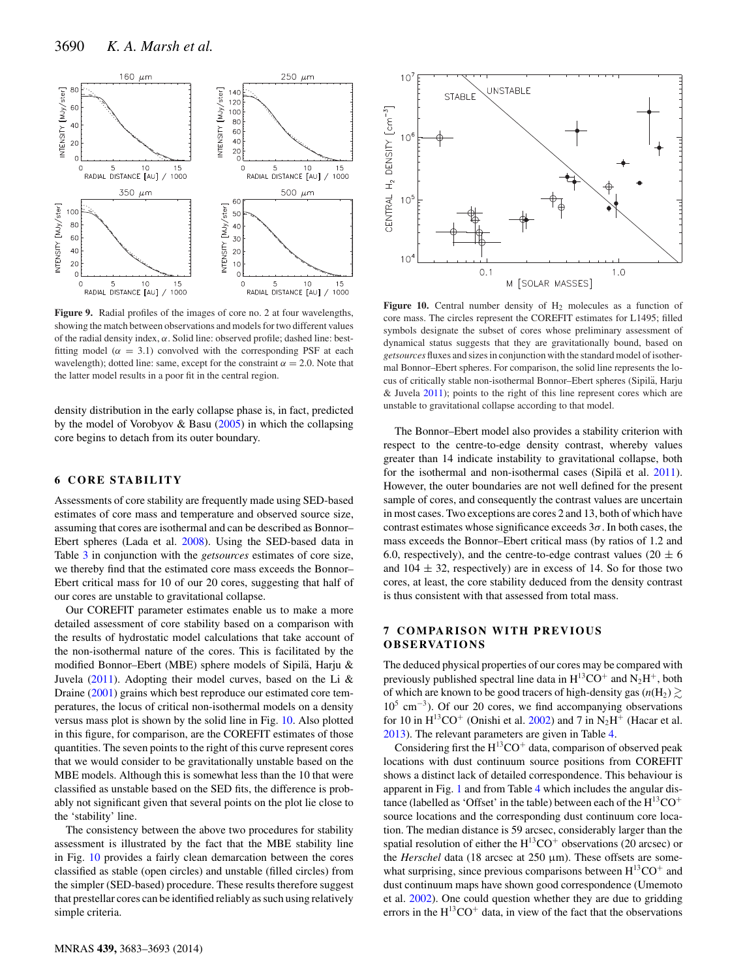<span id="page-7-0"></span>

Figure 9. Radial profiles of the images of core no. 2 at four wavelengths, showing the match between observations and models for two different values of the radial density index,  $\alpha$ . Solid line: observed profile; dashed line: bestfitting model ( $\alpha = 3.1$ ) convolved with the corresponding PSF at each wavelength); dotted line: same, except for the constraint  $\alpha = 2.0$ . Note that the latter model results in a poor fit in the central region.

density distribution in the early collapse phase is, in fact, predicted by the model of Vorobyov & Basu [\(2005\)](#page-10-30) in which the collapsing core begins to detach from its outer boundary.

## **6 CORE STABILITY**

Assessments of core stability are frequently made using SED-based estimates of core mass and temperature and observed source size, assuming that cores are isothermal and can be described as Bonnor– Ebert spheres (Lada et al. [2008\)](#page-10-31). Using the SED-based data in Table [3](#page-4-1) in conjunction with the *getsources* estimates of core size, we thereby find that the estimated core mass exceeds the Bonnor– Ebert critical mass for 10 of our 20 cores, suggesting that half of our cores are unstable to gravitational collapse.

Our COREFIT parameter estimates enable us to make a more detailed assessment of core stability based on a comparison with the results of hydrostatic model calculations that take account of the non-isothermal nature of the cores. This is facilitated by the modified Bonnor–Ebert (MBE) sphere models of Sipilä, Harju & Juvela [\(2011\)](#page-10-32). Adopting their model curves, based on the Li & Draine [\(2001\)](#page-10-33) grains which best reproduce our estimated core temperatures, the locus of critical non-isothermal models on a density versus mass plot is shown by the solid line in Fig. [10.](#page-7-1) Also plotted in this figure, for comparison, are the COREFIT estimates of those quantities. The seven points to the right of this curve represent cores that we would consider to be gravitationally unstable based on the MBE models. Although this is somewhat less than the 10 that were classified as unstable based on the SED fits, the difference is probably not significant given that several points on the plot lie close to the 'stability' line.

The consistency between the above two procedures for stability assessment is illustrated by the fact that the MBE stability line in Fig. [10](#page-7-1) provides a fairly clean demarcation between the cores classified as stable (open circles) and unstable (filled circles) from the simpler (SED-based) procedure. These results therefore suggest that prestellar cores can be identified reliably as such using relatively simple criteria.

<span id="page-7-1"></span>

Figure 10. Central number density of H<sub>2</sub> molecules as a function of core mass. The circles represent the COREFIT estimates for L1495; filled symbols designate the subset of cores whose preliminary assessment of dynamical status suggests that they are gravitationally bound, based on *getsources* fluxes and sizes in conjunction with the standard model of isothermal Bonnor–Ebert spheres. For comparison, the solid line represents the locus of critically stable non-isothermal Bonnor–Ebert spheres (Sipilä, Harju & Juvela [2011\)](#page-10-32); points to the right of this line represent cores which are unstable to gravitational collapse according to that model.

The Bonnor–Ebert model also provides a stability criterion with respect to th[e](#page-8-0) centre-to-edge density contrast, whereby values greater than 14 indicate instability to gravitational collapse, both for the isothermal and non-isothermal cases (Sipila et al.  $2011$ ). However, the outer boundaries are not well defined for the present sample of cores, and consequently the contrast values are uncertain in most cases. Two exceptions are cores 2 and 13, both of which have contrast estimates whose significance exceeds  $3\sigma$ . In both cases, the mass exceeds the Bonnor–Ebert critical mass (by ratios of 1.2 and 6.0, respectively), and the centre-to-edge contrast values (20  $\pm$  6 and  $104 \pm 32$ , respectively) are in excess of 14. So for those two cores, at least, the core stability deduced from the density contrast is thus consistent with that assessed from total mass.

## **7 COMPARISON WITH PREVIOUS OB SE RVAT IO N S**

The deduced physical properties of our cores may be compared with previously published spectral line data in  $H^{13}CO^+$  and  $N_2H^+$ , both of which are known to be good tracers of high-density gas ( $n(H_2) \gtrsim$  $10^5$  cm<sup>-3</sup>). Of our 20 cores, we find accompanying observations for 10 in  $H^{13}CO^{+}$  (Onishi et al. [2002\)](#page-10-18) and 7 in N<sub>2</sub>H<sup>+</sup> (Hacar et al. [2013\)](#page-10-19). The relevant parameters are given in Table [4.](#page-8-0)

Considering first the  $H^{13}CO<sup>+</sup>$  data, comparison of observed peak locations with dust continuum source positions from COREFIT shows a distinct lack of detailed correspondence. This behaviour is apparent in Fig. [1](#page-2-0) and from Table [4](#page-8-0) which includes the angular distance (labelled as 'Offset' in the table) between each of the  $H^{13}CO<sup>+</sup>$ source locations and the corresponding dust continuum core location. The median distance is 59 arcsec, considerably larger than the spatial resolution of either the  $H^{13}CO<sup>+</sup>$  observations (20 arcsec) or the *Herschel* data (18 arcsec at 250 μm). These offsets are somewhat surprising, since previous comparisons between  $H^{13}CO^+$  and dust continuum maps have shown good correspondence (Umemoto et al. [2002\)](#page-10-34). One could question whether they are due to gridding errors in the  $H^{13}CO^{+}$  data, in view of the fact that the observations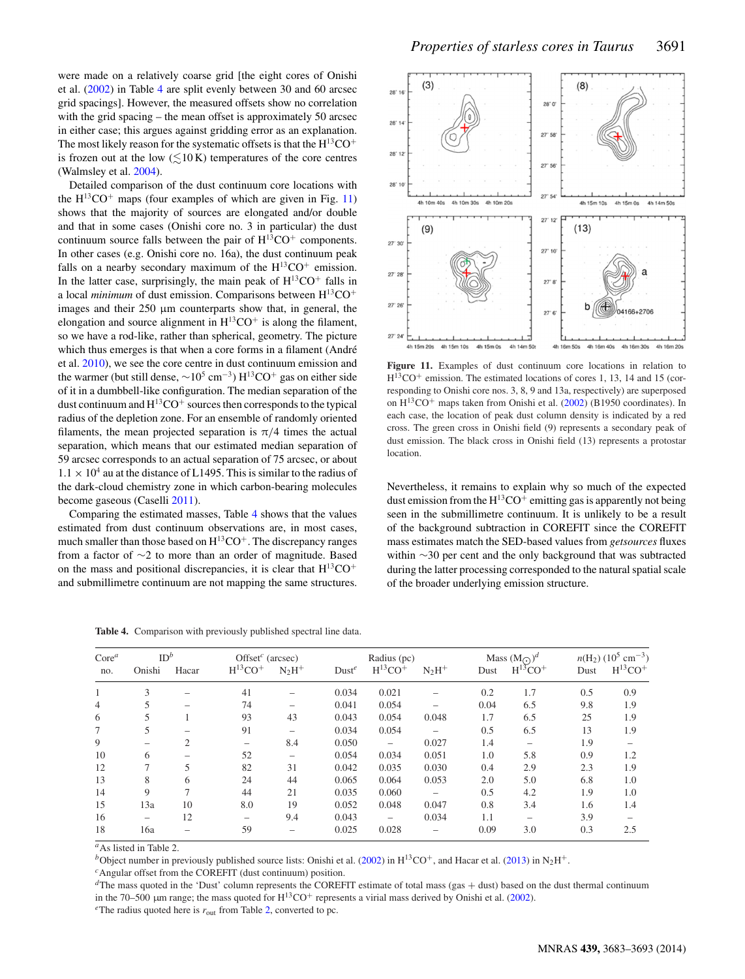were made on a relatively coarse grid [the eight cores of Onishi et al. [\(2002\)](#page-10-18) in Table [4](#page-8-0) are split evenly between 30 and 60 arcsec grid spacings]. However, the measured offsets show no correlation with the grid spacing – the mean offset is approximately 50 arcsec in either case; this argues against gridding error as an explanation. The most likely reason for the systematic offsets is that the  $H^{13}CO<sup>+</sup>$ is frozen out at the low  $(\leq 10 \text{ K})$  temperatures of the core centres (Walmsley et al. [2004\)](#page-10-35).

Detailed comparison of the dust continuum core locations with the  $H^{13}CO^+$  maps (four examples of which are given in Fig. [11\)](#page-8-1) shows that the majority of sources are elongated and/or double and that in some cases (Onishi core no. 3 in particular) the dust continuum source falls between the pair of  $H^{13}CO<sup>+</sup>$  components. In other cases (e.g. Onishi core no. 16a), the dust continuum peak falls on a nearby secondary maximum of the  $H^{13}CO^+$  emission. In the latter case, surprisingly, the main peak of  $H^{13}CO<sup>+</sup>$  falls in a local *minimum* of dust emission. Comparisons between  $H^{13}CO<sup>+</sup>$ images and their 250 μm counterparts show that, in general, the elongation and source alignment in  $H^{13}CO^+$  is along the filament, so we have a rod-like, rather than spherical, geometry. The picture which thus emerges is that when a core forms in a filament (André et al. [2010\)](#page-10-4), we see the core centre in dust continuum emission and the warmer (but still dense,  $\sim 10^5$  cm<sup>-3</sup>) H<sup>13</sup>CO<sup>+</sup> gas on either side of it in a dumbbell-like configuration. The median separation of the dust continuum and  $H^{13}CO<sup>+</sup>$  sources then corresponds to the typical radius of the depletion zone. For an ensemble of randomly oriented filaments, the mean projected separation is  $\pi/4$  times the actual separation, which means that our estimated median separation of 59 arcsec corresponds to an actual separation of 75 arcsec, or about  $1.1 \times 10^4$  au at the distance of L1495. This is similar to the radius of the dark-cloud chemistry zone in which carbon-bearing molecules become gaseous (Caselli [2011\)](#page-10-36).

Comparing the estimated masses, Table [4](#page-8-0) shows that the values estimated from dust continuum observations are, in most cases, much smaller than those based on  $H^{13}CO^+$ . The discrepancy ranges from a factor of ∼2 to more than an order of magnitude. Based on the mass and positional discrepancies, it is clear that  $H^{13}CO<sup>+</sup>$ and submillimetre continuum are not mapping the same structures.

<span id="page-8-1"></span>

**Figure 11.** Examples of dust continuum core locations in relation to  $H^{13}CO^+$  emission. The estimated locations of cores 1, 13, 14 and 15 (corresponding to Onishi core nos. 3, 8, 9 and 13a, respectively) are superposed on  $H^{13}CO^+$  maps taken from Onishi et al. [\(2002\)](#page-10-18) (B1950 coordinates). In each case, the location of peak dust column density is indicated by a red cross. The green cross in Onishi field (9) represents a secondary peak of dust emission. The black cross in Onishi field (13) represents a protostar location.

Nevertheless, it remains to explain why so much of the expected dust emission from the  $H^{13}CO^+$  emitting gas is apparently not being seen in the submillimetre continuum. It is unlikely to be a result of the background subtraction in COREFIT since the COREFIT mass estimates match the SED-based values from *getsources* fluxes within ∼30 per cent and the only background that was subtracted during the latter processing corresponded to the natural spatial scale of the broader underlying emission structure.

| $Core^a$       | ID <sup>b</sup> |       | Offset <sup>c</sup> (arcsec) |          | Radius (pc)       |                          |          | Mass $(M_{\odot})^d$ |             | $n(H_2)$ (10 <sup>5</sup> cm <sup>-3</sup> ) |             |
|----------------|-----------------|-------|------------------------------|----------|-------------------|--------------------------|----------|----------------------|-------------|----------------------------------------------|-------------|
| no.            | Onishi          | Hacar | $H^{13}CO+$                  | $N_2H^+$ | Dust <sup>e</sup> | $H^{13}CO+$              | $N_2H^+$ | Dust                 | $H^{15}CO+$ | Dust                                         | $H^{13}CO+$ |
|                | 3               |       | 41                           |          | 0.034             | 0.021                    |          | 0.2                  | 1.7         | 0.5                                          | 0.9         |
| $\overline{4}$ |                 |       | 74                           |          | 0.041             | 0.054                    |          | 0.04                 | 6.5         | 9.8                                          | 1.9         |
| 6              | 5               |       | 93                           | 43       | 0.043             | 0.054                    | 0.048    | 1.7                  | 6.5         | 25                                           | 1.9         |
| 7              | 5               |       | 91                           |          | 0.034             | 0.054                    |          | 0.5                  | 6.5         | 13                                           | 1.9         |
| 9              |                 | 2     |                              | 8.4      | 0.050             | $\overline{\phantom{0}}$ | 0.027    | 1.4                  |             | 1.9                                          |             |
| 10             | 6               |       | 52                           |          | 0.054             | 0.034                    | 0.051    | 1.0                  | 5.8         | 0.9                                          | 1.2         |
| 12             |                 | 5     | 82                           | 31       | 0.042             | 0.035                    | 0.030    | 0.4                  | 2.9         | 2.3                                          | 1.9         |
| 13             | 8               | 6     | 24                           | 44       | 0.065             | 0.064                    | 0.053    | 2.0                  | 5.0         | 6.8                                          | 1.0         |
| 14             | 9               | 7     | 44                           | 21       | 0.035             | 0.060                    |          | 0.5                  | 4.2         | 1.9                                          | 1.0         |
| 15             | 13a             | 10    | 8.0                          | 19       | 0.052             | 0.048                    | 0.047    | 0.8                  | 3.4         | 1.6                                          | 1.4         |
| 16             |                 | 12    |                              | 9.4      | 0.043             | -                        | 0.034    | 1.1                  |             | 3.9                                          |             |
| 18             | 16a             |       | 59                           |          | 0.025             | 0.028                    |          | 0.09                 | 3.0         | 0.3                                          | 2.5         |

<span id="page-8-0"></span>**Table 4.** Comparison with previously published spectral line data.

*<sup>a</sup>*As listed in Table 2.

*b*Object number in previously published source lists: Onishi et al. [\(2002\)](#page-10-18) in H<sup>13</sup>CO<sup>+</sup>, and Hacar et al. [\(2013\)](#page-10-19) in N<sub>2</sub>H<sup>+</sup>. <sup>*c*</sup>Angular offset from the COREFIT (dust continuum) position.

*d*The mass quoted in the 'Dust' column represents the COREFIT estimate of total mass (gas + dust) based on the dust thermal continuum in the 70–500 µm range; the mass quoted for  $H^{13}CO^+$  represents a virial mass derived by Onishi et al. [\(2002\)](#page-10-18).

*<sup>e</sup>*The radius quoted here is *r*out from Table [2,](#page-4-0) converted to pc.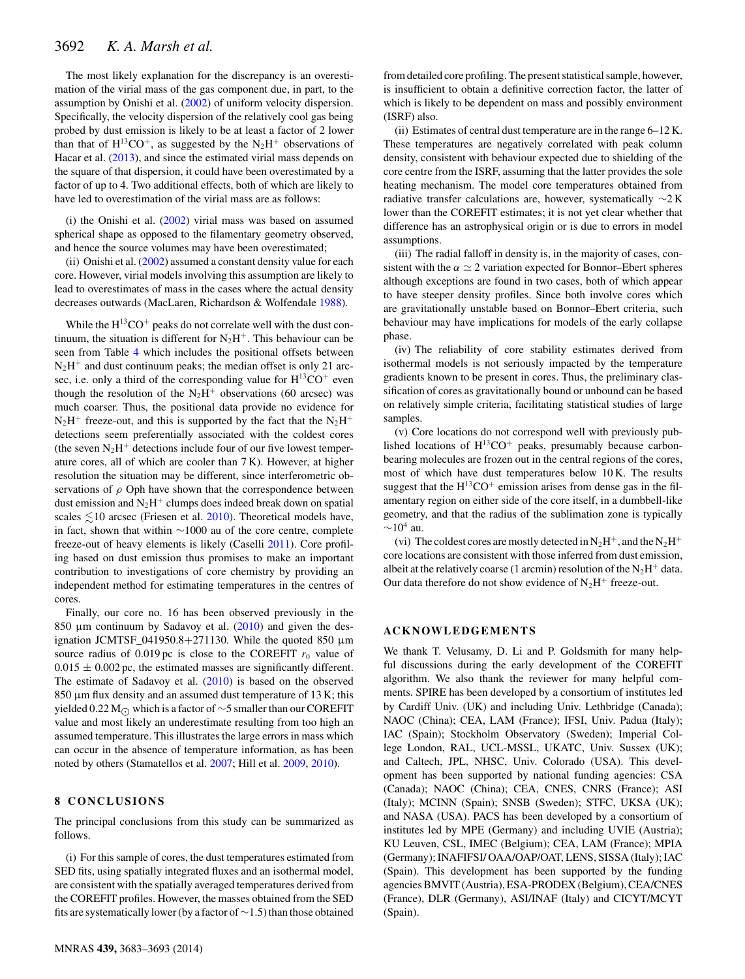The most likely explanation for the discrepancy is an overestimation of the virial mass of the gas component due, in part, to the assumption by Onishi et al. [\(2002\)](#page-10-18) of uniform velocity dispersion. Specifically, the velocity dispersion of the relatively cool gas being probed by dust emission is likely to be at least a factor of 2 lower than that of  $H^{13}CO^{+}$ , as suggested by the N<sub>2</sub>H<sup>+</sup> observations of Hacar et al. [\(2013\)](#page-10-19), and since the estimated virial mass depends on the square of that dispersion, it could have been overestimated by a factor of up to 4. Two additional effects, both of which are likely to have led to overestimation of the virial mass are as follows:

(i) the Onishi et al. [\(2002\)](#page-10-18) virial mass was based on assumed spherical shape as opposed to the filamentary geometry observed, and hence the source volumes may have been overestimated;

(ii) Onishi et al. [\(2002\)](#page-10-18) assumed a constant density value for each core. However, virial models involving this assumption are likely to lead to overestimates of mass in the cases where the actual density decreases outwards (MacLaren, Richardson & Wolfendale [1988\)](#page-10-37).

While the  $H^{13}CO<sup>+</sup>$  peaks do not correlate well with the dust continuum, the situation is different for  $N_2H^+$ . This behaviour can be seen from Table [4](#page-8-0) which includes the positional offsets between  $N<sub>2</sub>H<sup>+</sup>$  and dust continuum peaks; the median offset is only 21 arcsec, i.e. only a third of the corresponding value for  $H^{13}CO^{+}$  even though the resolution of the  $N_2H^+$  observations (60 arcsec) was much coarser. Thus, the positional data provide no evidence for  $N_2H^+$  freeze-out, and this is supported by the fact that the  $N_2H^+$ detections seem preferentially associated with the coldest cores (the seven  $N_2H^+$  detections include four of our five lowest temperature cores, all of which are cooler than 7 K). However, at higher resolution the situation may be different, since interferometric observations of  $\rho$  Oph have shown that the correspondence between dust emission and  $N_2H^+$  clumps does indeed break down on spatial scales  $\leq 10$  arcsec (Friesen et al. [2010\)](#page-10-38). Theoretical models have, in fact, shown that within ∼1000 au of the core centre, complete freeze-out of heavy elements is likely (Caselli [2011\)](#page-10-36). Core profiling based on dust emission thus promises to make an important contribution to investigations of core chemistry by providing an independent method for estimating temperatures in the centres of cores.

Finally, our core no. 16 has been observed previously in the 850 μm continuum by Sadavoy et al. [\(2010\)](#page-10-20) and given the designation JCMTSF\_041950.8+271130. While the quoted 850 μm source radius of  $0.019$  pc is close to the COREFIT  $r_0$  value of  $0.015 \pm 0.002$  pc, the estimated masses are significantly different. The estimate of Sadavoy et al. [\(2010\)](#page-10-20) is based on the observed 850 μm flux density and an assumed dust temperature of 13 K; this yielded 0.22 M c which is a factor of ~5 smaller than our COREFIT value and most likely an underestimate resulting from too high an assumed temperature. This illustrates the large errors in mass which can occur in the absence of temperature information, as has been noted by others (Stamatellos et al. [2007;](#page-10-27) Hill et al. [2009,](#page-10-39) [2010\)](#page-10-40).

## **8 CONCLUSIONS**

The principal conclusions from this study can be summarized as follows.

(i) For this sample of cores, the dust temperatures estimated from SED fits, using spatially integrated fluxes and an isothermal model, are consistent with the spatially averaged temperatures derived from the COREFIT profiles. However, the masses obtained from the SED fits are systematically lower (by a factor of∼1.5) than those obtained

from detailed core profiling. The present statistical sample, however, is insufficient to obtain a definitive correction factor, the latter of which is likely to be dependent on mass and possibly environment (ISRF) also.

(ii) Estimates of central dust temperature are in the range 6–12 K. These temperatures are negatively correlated with peak column density, consistent with behaviour expected due to shielding of the core centre from the ISRF, assuming that the latter provides the sole heating mechanism. The model core temperatures obtained from radiative transfer calculations are, however, systematically ∼2 K lower than the COREFIT estimates; it is not yet clear whether that difference has an astrophysical origin or is due to errors in model assumptions.

(iii) The radial falloff in density is, in the majority of cases, consistent with the  $\alpha \simeq 2$  variation expected for Bonnor–Ebert spheres although exceptions are found in two cases, both of which appear to have steeper density profiles. Since both involve cores which are gravitationally unstable based on Bonnor–Ebert criteria, such behaviour may have implications for models of the early collapse phase.

(iv) The reliability of core stability estimates derived from isothermal models is not seriously impacted by the temperature gradients known to be present in cores. Thus, the preliminary classification of cores as gravitationally bound or unbound can be based on relatively simple criteria, facilitating statistical studies of large samples.

(v) Core locations do not correspond well with previously published locations of  $H^{13}CO^{+}$  peaks, presumably because carbonbearing molecules are frozen out in the central regions of the cores, most of which have dust temperatures below 10 K. The results suggest that the  $H^{13}CO^+$  emission arises from dense gas in the filamentary region on either side of the core itself, in a dumbbell-like geometry, and that the radius of the sublimation zone is typically  $\sim$ 10<sup>4</sup> au.

(vi) The coldest cores are mostly detected in  $N_2H^+$ , and the  $N_2H^+$ core locations are consistent with those inferred from dust emission, albeit at the relatively coarse (1 arcmin) resolution of the  $N_2H^+$  data. Our data therefore do not show evidence of  $N_2H^+$  freeze-out.

#### **ACKNOWLEDGEMENTS**

We thank T. Velusamy, D. Li and P. Goldsmith for many helpful discussions during the early development of the COREFIT algorithm. We also thank the reviewer for many helpful comments. SPIRE has been developed by a consortium of institutes led by Cardiff Univ. (UK) and including Univ. Lethbridge (Canada); NAOC (China); CEA, LAM (France); IFSI, Univ. Padua (Italy); IAC (Spain); Stockholm Observatory (Sweden); Imperial College London, RAL, UCL-MSSL, UKATC, Univ. Sussex (UK); and Caltech, JPL, NHSC, Univ. Colorado (USA). This development has been supported by national funding agencies: CSA (Canada); NAOC (China); CEA, CNES, CNRS (France); ASI (Italy); MCINN (Spain); SNSB (Sweden); STFC, UKSA (UK); and NASA (USA). PACS has been developed by a consortium of institutes led by MPE (Germany) and including UVIE (Austria); KU Leuven, CSL, IMEC (Belgium); CEA, LAM (France); MPIA (Germany); INAFIFSI/ OAA/OAP/OAT, LENS, SISSA (Italy); IAC (Spain). This development has been supported by the funding agencies BMVIT (Austria), ESA-PRODEX (Belgium), CEA/CNES (France), DLR (Germany), ASI/INAF (Italy) and CICYT/MCYT (Spain).